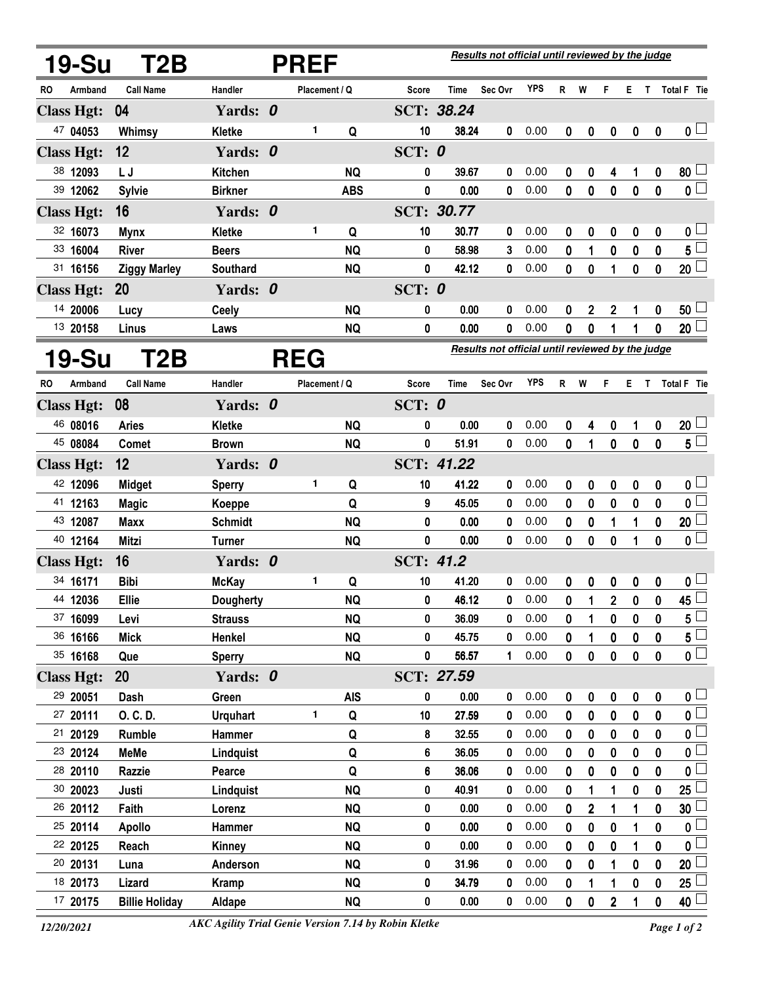| <b>19-Su</b>         | T2B                    | <b>PREF</b>      |  |               |                        |           | Results not official until reviewed by the judge |                                                  |              |              |                  |                |              |                       |                         |  |
|----------------------|------------------------|------------------|--|---------------|------------------------|-----------|--------------------------------------------------|--------------------------------------------------|--------------|--------------|------------------|----------------|--------------|-----------------------|-------------------------|--|
| RO<br>Armband        | <b>Call Name</b>       | Handler          |  | Placement / Q |                        | Score     | Time                                             | Sec Ovr                                          | <b>YPS</b>   | $\mathsf{R}$ | W                | F              |              |                       | E T Total F Tie         |  |
| <b>Class Hgt:</b>    | 04                     | Yards: 0         |  |               |                        |           | SCT: 38.24                                       |                                                  |              |              |                  |                |              |                       |                         |  |
| 47 04053             | Whimsy                 | Kletke           |  | 1             | Q                      | 10        | 38.24                                            | 0                                                | 0.00         | 0            | 0                | 0              | 0            | 0                     | 0 <sub>1</sub>          |  |
| <b>Class Hgt:</b>    | 12                     | Yards: 0         |  |               |                        | SCT: $0$  |                                                  |                                                  |              |              |                  |                |              |                       |                         |  |
| 38 12093             | L J                    | Kitchen          |  |               | <b>NQ</b>              | 0         | 39.67                                            | 0                                                | 0.00         | 0            | 0                | 4              | 1            | 0                     | 80 <sup>1</sup>         |  |
| 39 12062             | <b>Sylvie</b>          | <b>Birkner</b>   |  |               | <b>ABS</b>             | 0         | 0.00                                             | 0                                                | 0.00         | $\mathbf{0}$ | 0                | 0              | $\bf{0}$     | $\mathbf{0}$          | 0 <sub>1</sub>          |  |
| <b>Class Hgt:</b>    | 16                     | Yards: 0         |  |               |                        |           | <b>SCT: 30.77</b>                                |                                                  |              |              |                  |                |              |                       |                         |  |
| 32 16073             | <b>Mynx</b>            | Kletke           |  | $\mathbf{1}$  | Q                      | 10        | 30.77                                            | 0                                                | 0.00         | 0            | 0                | 0              | 0            | 0                     | $\mathbf 0$             |  |
| 33 16004             | <b>River</b>           | <b>Beers</b>     |  |               | <b>NQ</b>              | 0         | 58.98                                            | 3                                                | 0.00         | 0            | 1                | 0              | 0            | 0                     | 5                       |  |
| 31 16156             | <b>Ziggy Marley</b>    | Southard         |  |               | <b>NQ</b>              | 0         | 42.12                                            | 0                                                | 0.00         | 0            | 0                | 1              | $\mathbf 0$  | 0                     | $20\perp$               |  |
| <b>Class Hgt:</b>    | 20                     | Yards: 0         |  |               |                        | SCT: $0$  |                                                  |                                                  |              |              |                  |                |              |                       |                         |  |
| 14 20006             | Lucy                   | <b>Ceely</b>     |  |               | <b>NQ</b>              | 0         | 0.00                                             | 0                                                | 0.00         | 0            | 2                | 2              | 1            | 0                     | 50                      |  |
| 13 20158             | Linus                  | Laws             |  |               | <b>NQ</b>              | 0         | 0.00                                             | 0                                                | 0.00         | 0            | 0                | 1              | 1            | 0                     | 20 <sub>2</sub>         |  |
| 19-Su                | T2B                    |                  |  | <b>REG</b>    |                        |           |                                                  | Results not official until reviewed by the judge |              |              |                  |                |              |                       |                         |  |
| Armband<br>RO        | <b>Call Name</b>       | Handler          |  | Placement / Q |                        | Score     | Time                                             | Sec Ovr                                          | <b>YPS</b>   | R            | W                | F              |              |                       | E T Total F Tie         |  |
| <b>Class Hgt:</b>    | 08                     | Yards: 0         |  |               |                        | SCT: $0$  |                                                  |                                                  |              |              |                  |                |              |                       |                         |  |
| 46 08016             | <b>Aries</b>           | <b>Kletke</b>    |  |               | <b>NQ</b>              | 0         | 0.00                                             | 0                                                | 0.00         | 0            | 4                | 0              | 1            | 0                     | $20\perp$               |  |
| 45 08084             | <b>Comet</b>           | <b>Brown</b>     |  |               | <b>NQ</b>              | 0         | 51.91                                            | 0                                                | 0.00         | 0            | 1                | $\mathbf 0$    | $\pmb{0}$    | $\mathbf 0$           | 5 <sub>5</sub>          |  |
| <b>Class Hgt:</b>    | 12                     | Yards: 0         |  |               |                        |           | SCT: 41.22                                       |                                                  |              |              |                  |                |              |                       |                         |  |
| 42 12096             | <b>Midget</b>          | <b>Sperry</b>    |  | 1             | Q                      | 10        | 41.22                                            | $\bf{0}$                                         | 0.00         | 0            | 0                | 0              | 0            | 0                     | $0\perp$                |  |
| 41 12163             | <b>Magic</b>           | Koeppe           |  |               | Q                      | 9         | 45.05                                            | 0                                                | 0.00         | 0            | 0                | $\pmb{0}$      | $\bf{0}$     | $\mathbf{0}$          | $\mathbf 0$             |  |
| 43 12087             | <b>Maxx</b>            | <b>Schmidt</b>   |  |               | <b>NQ</b>              | 0         | 0.00                                             | 0                                                | 0.00         | 0            | 0                | 1              | 1            | 0                     | 20 <sub>2</sub>         |  |
| 40 12164             | <b>Mitzi</b>           | <b>Turner</b>    |  |               | <b>NQ</b>              | 0         | 0.00                                             | 0                                                | 0.00         | 0            | 0                | 0              | 1            | 0                     | $\mathbf 0$             |  |
| <b>Class Hgt:</b>    | 16                     | Yards: 0         |  |               |                        | SCT: 41.2 |                                                  |                                                  |              |              |                  |                |              |                       |                         |  |
| 34 16171             | <b>Bibi</b>            | <b>McKay</b>     |  | 1             | Q                      | 10        | 41.20                                            | 0                                                | 0.00         | 0            | 0                | 0              | 0            | 0                     | 0 <sub>1</sub>          |  |
| 44 12036             | <b>Ellie</b>           | <b>Dougherty</b> |  |               | <b>NQ</b>              | 0         | 46.12                                            | 0                                                | 0.00         | $\mathbf 0$  | 1                | $\overline{2}$ | $\mathbf{0}$ | $\pmb{0}$             | 45                      |  |
| 37 16099             | Levi                   | <b>Strauss</b>   |  |               | <b>NQ</b>              | 0         | 36.09                                            | 0                                                | 0.00         | 0            | 1                | 0              | 0            | 0                     | 5                       |  |
| 36 16166             | <b>Mick</b>            | Henkel           |  |               | <b>NQ</b>              | 0         | 45.75                                            | 0                                                | 0.00         | 0            | 1                | 0              | 0            | $\mathbf 0$           | 5                       |  |
| 35 16168             | Que                    | <b>Sperry</b>    |  |               | <b>NQ</b>              | 0         | 56.57                                            | 1                                                | 0.00         | 0            | 0                | 0              | $\mathbf 0$  | $\mathbf 0$           | $\overline{\mathbf{0}}$ |  |
| <b>Class Hgt:</b>    | 20                     | Yards: 0         |  |               |                        |           | SCT: 27.59                                       |                                                  |              |              |                  |                |              |                       |                         |  |
| 29 20051             | Dash                   | Green            |  |               | <b>AIS</b>             | 0         | 0.00                                             | 0                                                | 0.00         | 0            | 0                | 0              | 0            | $\boldsymbol{0}$      | 0 <sub>0</sub>          |  |
| 27 20111             | O. C. D.               | <b>Urquhart</b>  |  | $\mathbf{1}$  | Q                      | 10        | 27.59                                            | 0                                                | 0.00         | 0            | 0                | 0              | $\mathbf 0$  | 0                     | 0 L                     |  |
| 21 20129             | Rumble                 | Hammer           |  |               | Q                      | 8         | 32.55                                            | 0                                                | 0.00         | 0            | 0                | 0              | 0            | 0                     | $\mathbf 0$             |  |
| 23 20124             | MeMe                   | Lindquist        |  |               | Q                      | 6         | 36.05                                            | 0                                                | 0.00         | 0            | 0                | $\bf{0}$       | 0            | 0                     | 0 L                     |  |
| 28 20110             | Razzie                 | Pearce           |  |               | Q                      | 6         | 36.06                                            | 0                                                | 0.00         | 0            | 0                | 0              | 0            | 0                     | $\mathbf 0$             |  |
| 30 20023             | Justi                  | Lindquist        |  |               | <b>NQ</b>              | 0         | 40.91                                            | 0<br>0                                           | 0.00<br>0.00 | 0            | 1                | 1              | 0            | 0                     | 25                      |  |
| 26 20112<br>25 20114 | Faith<br><b>Apollo</b> | Lorenz           |  |               | <b>NQ</b><br><b>NQ</b> | 0<br>0    | 0.00<br>0.00                                     | 0                                                | 0.00         | 0            | $\mathbf 2$<br>0 | 1<br>0         | 1            | $\boldsymbol{0}$<br>0 | $30\,$<br>$\mathbf 0$   |  |
| 22 20125             | Reach                  | Hammer<br>Kinney |  |               | <b>NQ</b>              | 0         | 0.00                                             | 0                                                | 0.00         | 0<br>0       | 0                | 0              | 1<br>1       | 0                     | $\mathbf 0$             |  |
| 20 20131             | Luna                   | Anderson         |  |               | <b>NQ</b>              | 0         | 31.96                                            | 0                                                | 0.00         | 0            | 0                | 1              | 0            | 0                     | 20                      |  |
| 18 20173             | Lizard                 | <b>Kramp</b>     |  |               | <b>NQ</b>              | 0         | 34.79                                            | 0                                                | 0.00         | 0            |                  | 1              | 0            | 0                     | 25                      |  |
| 17 20175             | <b>Billie Holiday</b>  | Aldape           |  |               | <b>NQ</b>              | 0         | 0.00                                             | 0                                                | 0.00         | 0            | 0                | $\mathbf 2$    | 1            | 0                     | 40 <sup>1</sup>         |  |